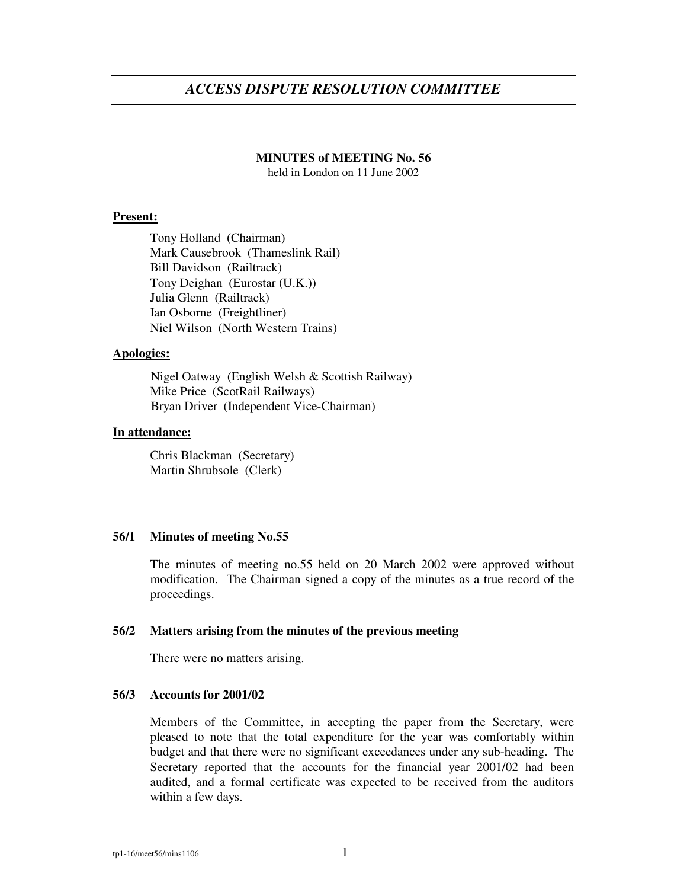# *ACCESS DISPUTE RESOLUTION COMMITTEE*

### **MINUTES of MEETING No. 56**

held in London on 11 June 2002

#### **Present:**

Tony Holland (Chairman) Mark Causebrook (Thameslink Rail) Bill Davidson (Railtrack) Tony Deighan (Eurostar (U.K.)) Julia Glenn (Railtrack) Ian Osborne (Freightliner) Niel Wilson (North Western Trains)

#### **Apologies:**

Nigel Oatway (English Welsh & Scottish Railway) Mike Price (ScotRail Railways) Bryan Driver (Independent Vice-Chairman)

#### **In attendance:**

Chris Blackman (Secretary) Martin Shrubsole (Clerk)

### **56/1 Minutes of meeting No.55**

The minutes of meeting no.55 held on 20 March 2002 were approved without modification. The Chairman signed a copy of the minutes as a true record of the proceedings.

#### **56/2 Matters arising from the minutes of the previous meeting**

There were no matters arising.

#### **56/3 Accounts for 2001/02**

Members of the Committee, in accepting the paper from the Secretary, were pleased to note that the total expenditure for the year was comfortably within budget and that there were no significant exceedances under any sub-heading. The Secretary reported that the accounts for the financial year 2001/02 had been audited, and a formal certificate was expected to be received from the auditors within a few days.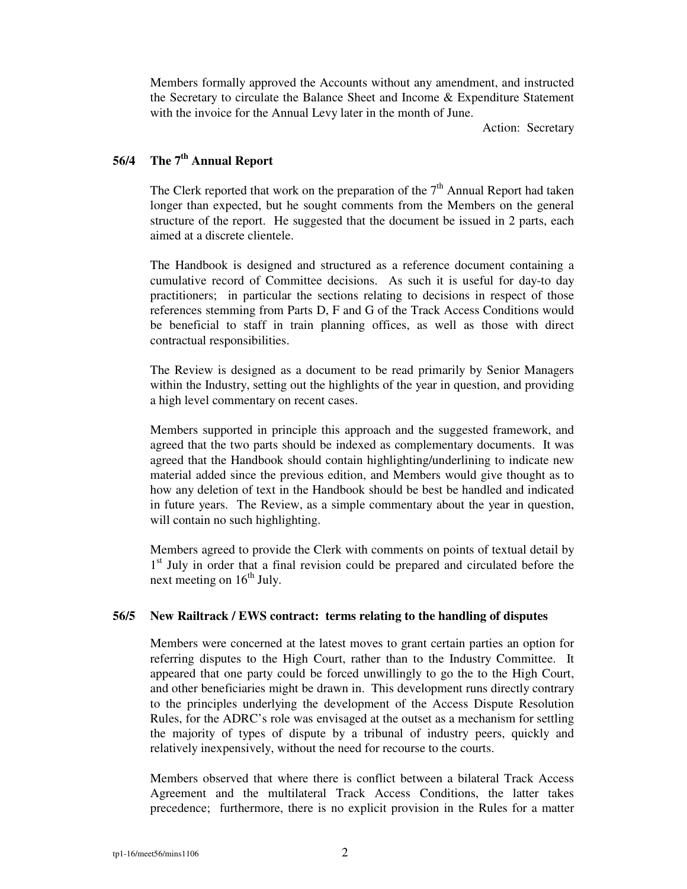Members formally approved the Accounts without any amendment, and instructed the Secretary to circulate the Balance Sheet and Income & Expenditure Statement with the invoice for the Annual Levy later in the month of June.

Action: Secretary

## **56/4 The 7 th Annual Report**

The Clerk reported that work on the preparation of the  $7<sup>th</sup>$  Annual Report had taken longer than expected, but he sought comments from the Members on the general structure of the report. He suggested that the document be issued in 2 parts, each aimed at a discrete clientele.

The Handbook is designed and structured as a reference document containing a cumulative record of Committee decisions. As such it is useful for day-to day practitioners; in particular the sections relating to decisions in respect of those references stemming from Parts D, F and G of the Track Access Conditions would be beneficial to staff in train planning offices, as well as those with direct contractual responsibilities.

The Review is designed as a document to be read primarily by Senior Managers within the Industry, setting out the highlights of the year in question, and providing a high level commentary on recent cases.

Members supported in principle this approach and the suggested framework, and agreed that the two parts should be indexed as complementary documents. It was agreed that the Handbook should contain highlighting/underlining to indicate new material added since the previous edition, and Members would give thought as to how any deletion of text in the Handbook should be best be handled and indicated in future years. The Review, as a simple commentary about the year in question, will contain no such highlighting.

Members agreed to provide the Clerk with comments on points of textual detail by 1<sup>st</sup> July in order that a final revision could be prepared and circulated before the next meeting on 16<sup>th</sup> July.

## **56/5 New Railtrack / EWS contract: terms relating to the handling of disputes**

Members were concerned at the latest moves to grant certain parties an option for referring disputes to the High Court, rather than to the Industry Committee. It appeared that one party could be forced unwillingly to go the to the High Court, and other beneficiaries might be drawn in. This development runs directly contrary to the principles underlying the development of the Access Dispute Resolution Rules, for the ADRC's role was envisaged at the outset as a mechanism for settling the majority of types of dispute by a tribunal of industry peers, quickly and relatively inexpensively, without the need for recourse to the courts.

Members observed that where there is conflict between a bilateral Track Access Agreement and the multilateral Track Access Conditions, the latter takes precedence; furthermore, there is no explicit provision in the Rules for a matter